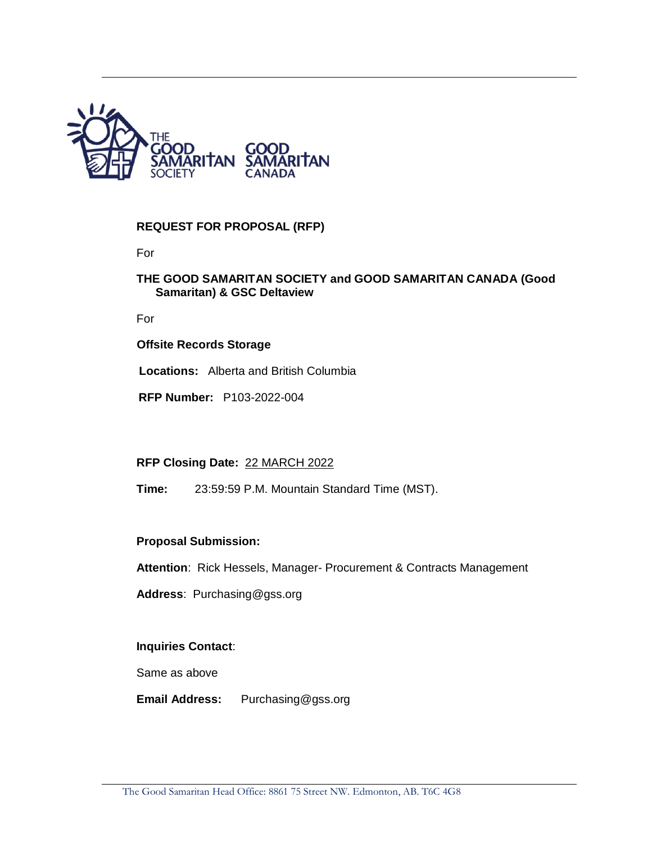

## **REQUEST FOR PROPOSAL (RFP)**

For

#### **THE GOOD SAMARITAN SOCIETY and GOOD SAMARITAN CANADA (Good Samaritan) & GSC Deltaview**

For

#### **Offsite Records Storage**

**Locations:** Alberta and British Columbia

**RFP Number:** P103-2022-004

#### **RFP Closing Date:** 22 MARCH 2022

**Time:** 23:59:59 P.M. Mountain Standard Time (MST).

#### **Proposal Submission:**

**Attention**: Rick Hessels, Manager- Procurement & Contracts Management

**Address**: Purchasing@gss.org

#### **Inquiries Contact**:

Same as above

**Email Address:** Purchasing@gss.org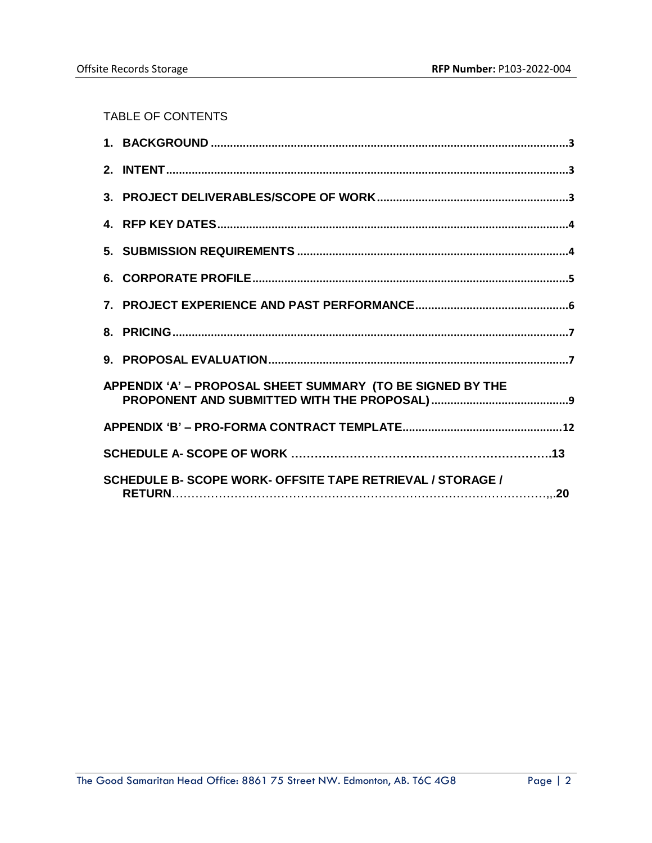TABLE OF CONTENTS

| APPENDIX 'A' - PROPOSAL SHEET SUMMARY (TO BE SIGNED BY THE |  |
|------------------------------------------------------------|--|
|                                                            |  |
|                                                            |  |
| SCHEDULE B- SCOPE WORK- OFFSITE TAPE RETRIEVAL / STORAGE / |  |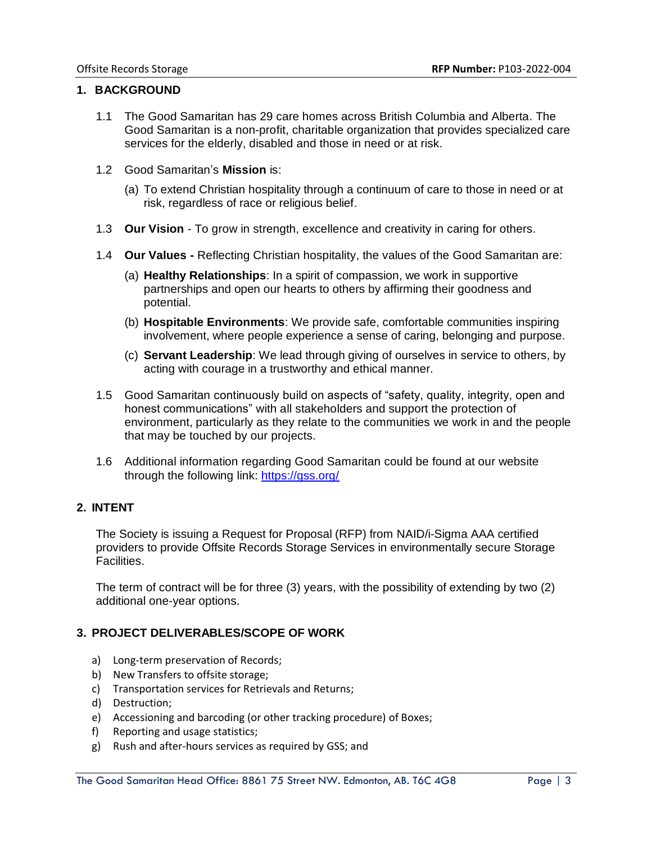#### <span id="page-2-0"></span>**1. BACKGROUND**

- 1.1 The Good Samaritan has 29 care homes across British Columbia and Alberta. The Good Samaritan is a non-profit, charitable organization that provides specialized care services for the elderly, disabled and those in need or at risk.
- 1.2 Good Samaritan's **Mission** is:
	- (a) To extend Christian hospitality through a continuum of care to those in need or at risk, regardless of race or religious belief.
- 1.3 **Our Vision** To grow in strength, excellence and creativity in caring for others.
- 1.4 **Our Values -** Reflecting Christian hospitality, the values of the Good Samaritan are:
	- (a) **Healthy Relationships**: In a spirit of compassion, we work in supportive partnerships and open our hearts to others by affirming their goodness and potential.
	- (b) **Hospitable Environments**: We provide safe, comfortable communities inspiring involvement, where people experience a sense of caring, belonging and purpose.
	- (c) **Servant Leadership**: We lead through giving of ourselves in service to others, by acting with courage in a trustworthy and ethical manner.
- 1.5 Good Samaritan continuously build on aspects of "safety, quality, integrity, open and honest communications" with all stakeholders and support the protection of environment, particularly as they relate to the communities we work in and the people that may be touched by our projects.
- 1.6 Additional information regarding Good Samaritan could be found at our website through the following link:<https://gss.org/>

#### <span id="page-2-1"></span>**2. INTENT**

The Society is issuing a Request for Proposal (RFP) from NAID/i-Sigma AAA certified providers to provide Offsite Records Storage Services in environmentally secure Storage Facilities.

The term of contract will be for three (3) years, with the possibility of extending by two (2) additional one-year options.

#### <span id="page-2-2"></span>**3. PROJECT DELIVERABLES/SCOPE OF WORK**

- a) Long-term preservation of Records;
- b) New Transfers to offsite storage;
- c) Transportation services for Retrievals and Returns;
- d) Destruction;
- e) Accessioning and barcoding (or other tracking procedure) of Boxes;
- f) Reporting and usage statistics;
- g) Rush and after-hours services as required by GSS; and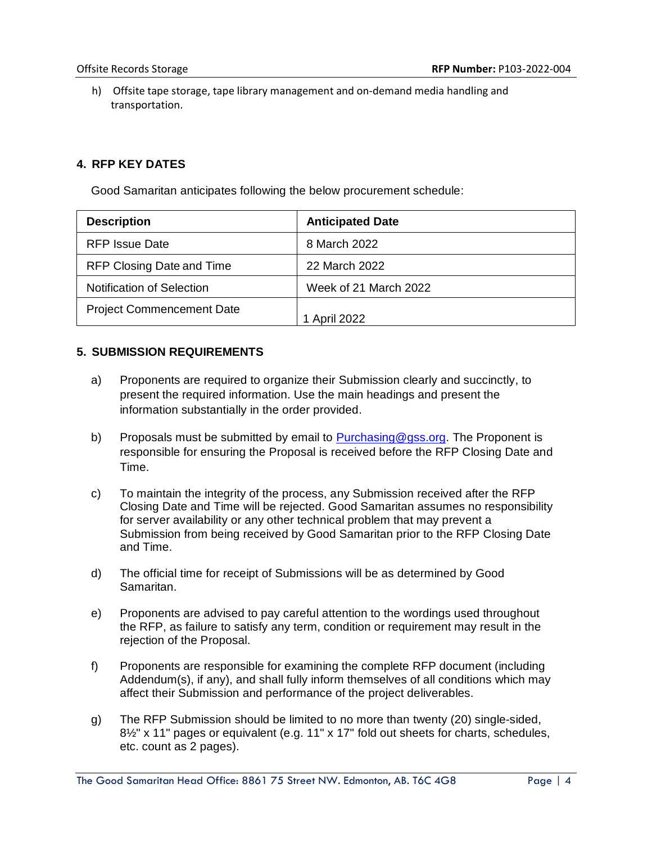h) Offsite tape storage, tape library management and on-demand media handling and transportation.

## <span id="page-3-0"></span>**4. RFP KEY DATES**

Good Samaritan anticipates following the below procurement schedule:

| <b>Description</b>               | <b>Anticipated Date</b> |
|----------------------------------|-------------------------|
| <b>RFP Issue Date</b>            | 8 March 2022            |
| RFP Closing Date and Time        | 22 March 2022           |
| <b>Notification of Selection</b> | Week of 21 March 2022   |
| <b>Project Commencement Date</b> | 1 April 2022            |

#### <span id="page-3-1"></span>**5. SUBMISSION REQUIREMENTS**

- a) Proponents are required to organize their Submission clearly and succinctly, to present the required information. Use the main headings and present the information substantially in the order provided.
- b) Proposals must be submitted by email to Purchasing @gss.org. The Proponent is responsible for ensuring the Proposal is received before the RFP Closing Date and Time.
- c) To maintain the integrity of the process, any Submission received after the RFP Closing Date and Time will be rejected. Good Samaritan assumes no responsibility for server availability or any other technical problem that may prevent a Submission from being received by Good Samaritan prior to the RFP Closing Date and Time.
- d) The official time for receipt of Submissions will be as determined by Good Samaritan.
- e) Proponents are advised to pay careful attention to the wordings used throughout the RFP, as failure to satisfy any term, condition or requirement may result in the rejection of the Proposal.
- f) Proponents are responsible for examining the complete RFP document (including Addendum(s), if any), and shall fully inform themselves of all conditions which may affect their Submission and performance of the project deliverables.
- g) The RFP Submission should be limited to no more than twenty (20) single-sided, 8½" x 11" pages or equivalent (e.g. 11" x 17" fold out sheets for charts, schedules, etc. count as 2 pages).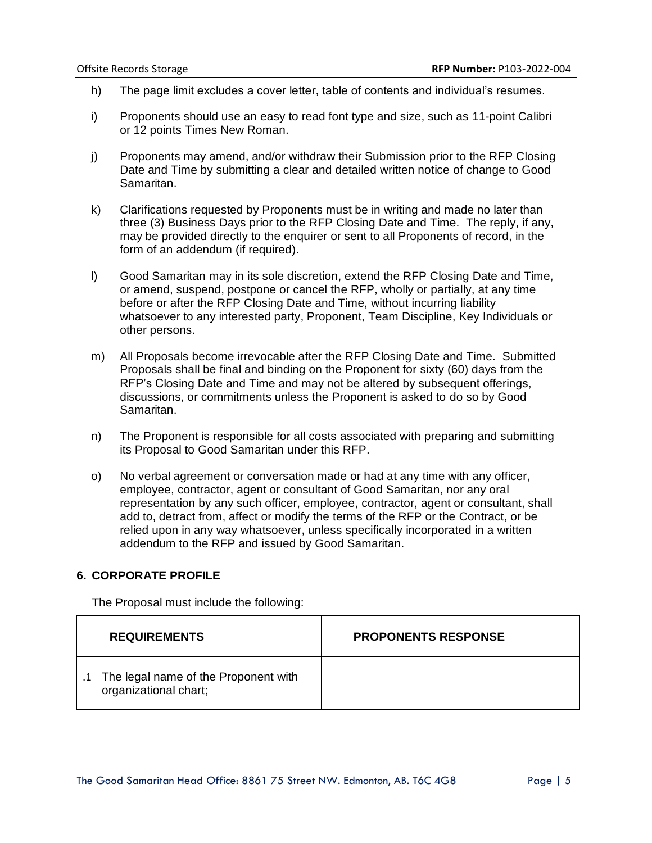- h) The page limit excludes a cover letter, table of contents and individual's resumes.
- i) Proponents should use an easy to read font type and size, such as 11-point Calibri or 12 points Times New Roman.
- j) Proponents may amend, and/or withdraw their Submission prior to the RFP Closing Date and Time by submitting a clear and detailed written notice of change to Good Samaritan.
- k) Clarifications requested by Proponents must be in writing and made no later than three (3) Business Days prior to the RFP Closing Date and Time. The reply, if any, may be provided directly to the enquirer or sent to all Proponents of record, in the form of an addendum (if required).
- l) Good Samaritan may in its sole discretion, extend the RFP Closing Date and Time, or amend, suspend, postpone or cancel the RFP, wholly or partially, at any time before or after the RFP Closing Date and Time, without incurring liability whatsoever to any interested party, Proponent, Team Discipline, Key Individuals or other persons.
- m) All Proposals become irrevocable after the RFP Closing Date and Time. Submitted Proposals shall be final and binding on the Proponent for sixty (60) days from the RFP's Closing Date and Time and may not be altered by subsequent offerings, discussions, or commitments unless the Proponent is asked to do so by Good Samaritan.
- n) The Proponent is responsible for all costs associated with preparing and submitting its Proposal to Good Samaritan under this RFP.
- o) No verbal agreement or conversation made or had at any time with any officer, employee, contractor, agent or consultant of Good Samaritan, nor any oral representation by any such officer, employee, contractor, agent or consultant, shall add to, detract from, affect or modify the terms of the RFP or the Contract, or be relied upon in any way whatsoever, unless specifically incorporated in a written addendum to the RFP and issued by Good Samaritan.

#### <span id="page-4-0"></span>**6. CORPORATE PROFILE**

The Proposal must include the following:

| <b>REQUIREMENTS</b>                                              | <b>PROPONENTS RESPONSE</b> |
|------------------------------------------------------------------|----------------------------|
| .1 The legal name of the Proponent with<br>organizational chart; |                            |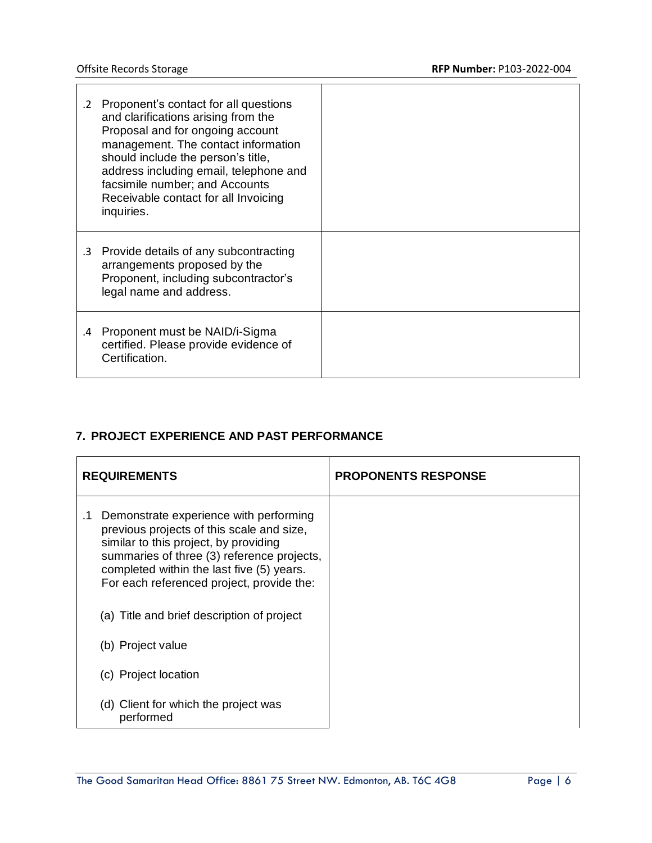$\blacksquare$ 

|    | .2 Proponent's contact for all questions<br>and clarifications arising from the<br>Proposal and for ongoing account<br>management. The contact information<br>should include the person's title,<br>address including email, telephone and<br>facsimile number; and Accounts<br>Receivable contact for all Invoicing<br>inquiries. |  |
|----|------------------------------------------------------------------------------------------------------------------------------------------------------------------------------------------------------------------------------------------------------------------------------------------------------------------------------------|--|
|    | .3 Provide details of any subcontracting<br>arrangements proposed by the<br>Proponent, including subcontractor's<br>legal name and address.                                                                                                                                                                                        |  |
| .4 | Proponent must be NAID/i-Sigma<br>certified. Please provide evidence of<br>Certification.                                                                                                                                                                                                                                          |  |

## <span id="page-5-0"></span>**7. PROJECT EXPERIENCE AND PAST PERFORMANCE**

| <b>REQUIREMENTS</b>                                                                                                                                                                                                                                                               | <b>PROPONENTS RESPONSE</b> |
|-----------------------------------------------------------------------------------------------------------------------------------------------------------------------------------------------------------------------------------------------------------------------------------|----------------------------|
| Demonstrate experience with performing<br>$\cdot$ 1<br>previous projects of this scale and size,<br>similar to this project, by providing<br>summaries of three (3) reference projects,<br>completed within the last five (5) years.<br>For each referenced project, provide the: |                            |
| (a) Title and brief description of project                                                                                                                                                                                                                                        |                            |
| (b) Project value                                                                                                                                                                                                                                                                 |                            |
| (c) Project location                                                                                                                                                                                                                                                              |                            |
| (d) Client for which the project was<br>performed                                                                                                                                                                                                                                 |                            |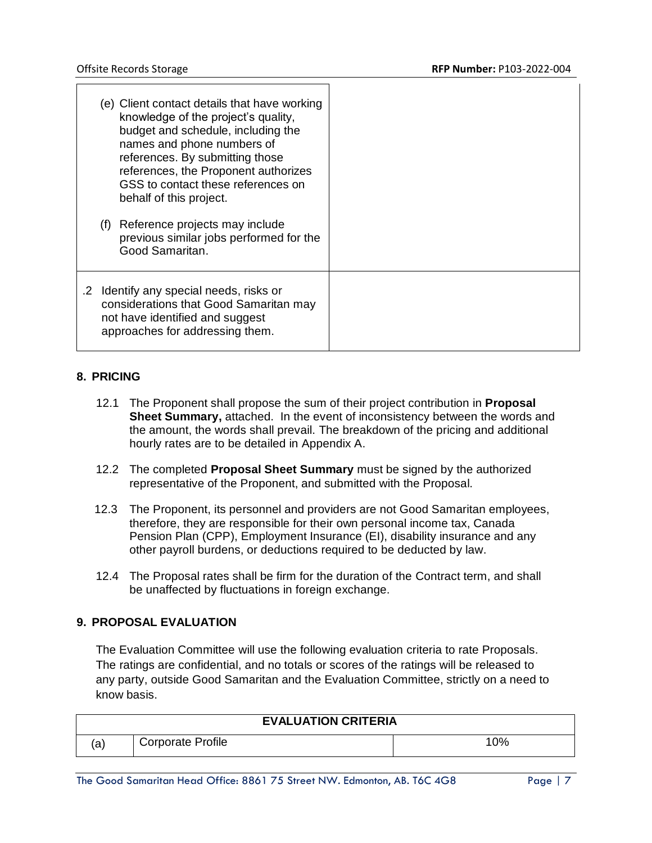|  | (e) Client contact details that have working<br>knowledge of the project's quality,<br>budget and schedule, including the<br>names and phone numbers of<br>references. By submitting those<br>references, the Proponent authorizes<br>GSS to contact these references on<br>behalf of this project.<br>(f) Reference projects may include<br>previous similar jobs performed for the<br>Good Samaritan. |
|--|---------------------------------------------------------------------------------------------------------------------------------------------------------------------------------------------------------------------------------------------------------------------------------------------------------------------------------------------------------------------------------------------------------|
|  | .2 Identify any special needs, risks or<br>considerations that Good Samaritan may<br>not have identified and suggest<br>approaches for addressing them.                                                                                                                                                                                                                                                 |

#### <span id="page-6-0"></span>**8. PRICING**

- 12.1 The Proponent shall propose the sum of their project contribution in **Proposal Sheet Summary,** attached. In the event of inconsistency between the words and the amount, the words shall prevail. The breakdown of the pricing and additional hourly rates are to be detailed in Appendix A.
- 12.2 The completed **Proposal Sheet Summary** must be signed by the authorized representative of the Proponent, and submitted with the Proposal.
- 12.3 The Proponent, its personnel and providers are not Good Samaritan employees, therefore, they are responsible for their own personal income tax, Canada Pension Plan (CPP), Employment Insurance (EI), disability insurance and any other payroll burdens, or deductions required to be deducted by law.
- 12.4 The Proposal rates shall be firm for the duration of the Contract term, and shall be unaffected by fluctuations in foreign exchange.

#### <span id="page-6-1"></span>**9. PROPOSAL EVALUATION**

The Evaluation Committee will use the following evaluation criteria to rate Proposals. The ratings are confidential, and no totals or scores of the ratings will be released to any party, outside Good Samaritan and the Evaluation Committee, strictly on a need to know basis.

|             | <b>EVALUATION CRITERIA</b> |     |
|-------------|----------------------------|-----|
| $\sim$<br>a | <b>Corporate Profile</b>   | 10% |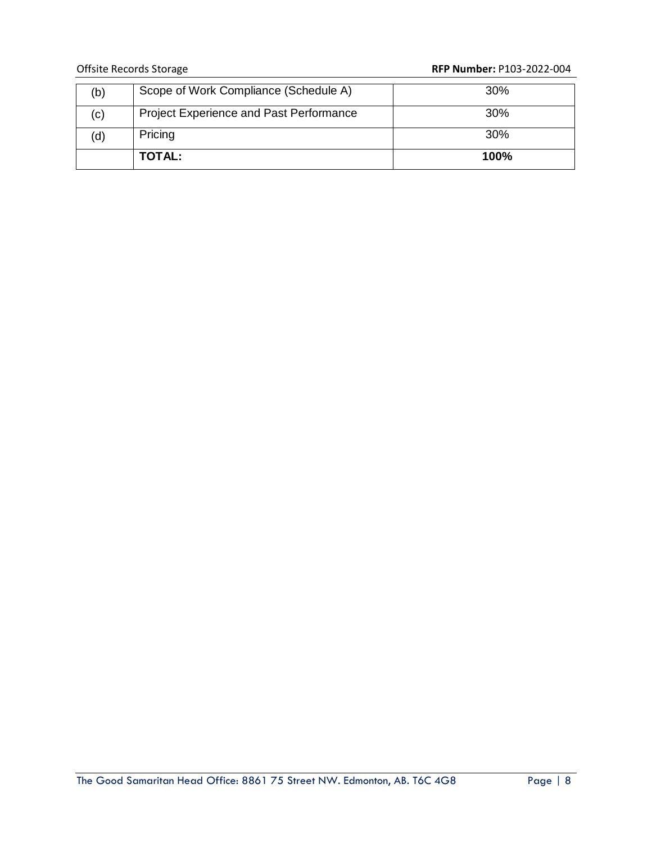## Offsite Records Storage **RFP Number:** P103-2022-004

| (b) | Scope of Work Compliance (Schedule A)          | 30%         |
|-----|------------------------------------------------|-------------|
| (c) | <b>Project Experience and Past Performance</b> | <b>30%</b>  |
| (d) | Pricing                                        | 30%         |
|     | TOTAL:                                         | <b>100%</b> |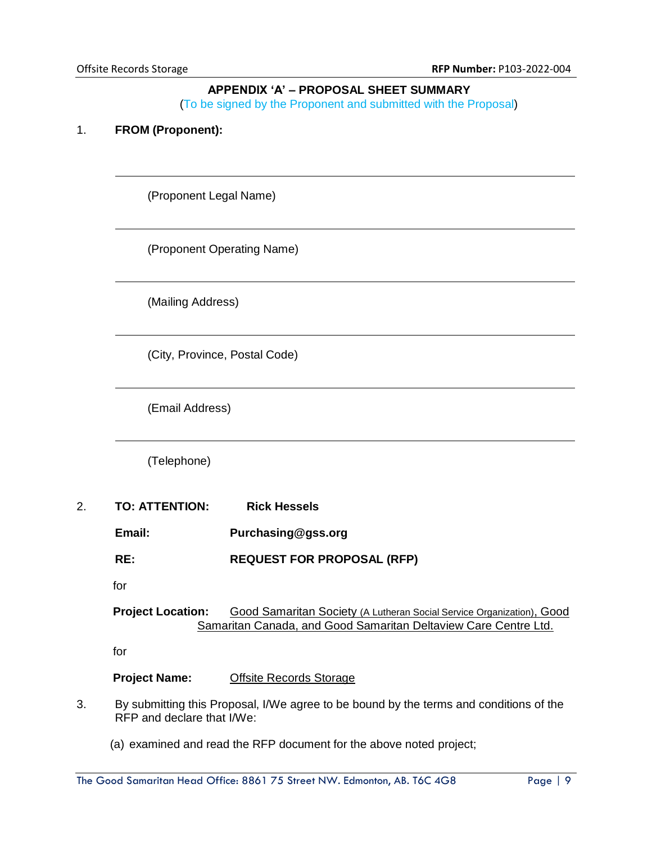#### **APPENDIX 'A' – PROPOSAL SHEET SUMMARY**

(To be signed by the Proponent and submitted with the Proposal)

#### <span id="page-8-0"></span>1. **FROM (Proponent):**

(Proponent Legal Name)

(Proponent Operating Name)

(Mailing Address)

(City, Province, Postal Code)

(Email Address)

(Telephone)

- 2. **TO: ATTENTION: Rick Hessels**
	- **Email: Purchasing@gss.org**
	- **RE: REQUEST FOR PROPOSAL (RFP)**
	- for

#### **Project Location:** Good Samaritan Society (A Lutheran Social Service Organization), Good Samaritan Canada, and Good Samaritan Deltaview Care Centre Ltd.

for

#### **Project Name:** Offsite Records Storage

- 3. By submitting this Proposal, I/We agree to be bound by the terms and conditions of the RFP and declare that I/We:
	- (a) examined and read the RFP document for the above noted project;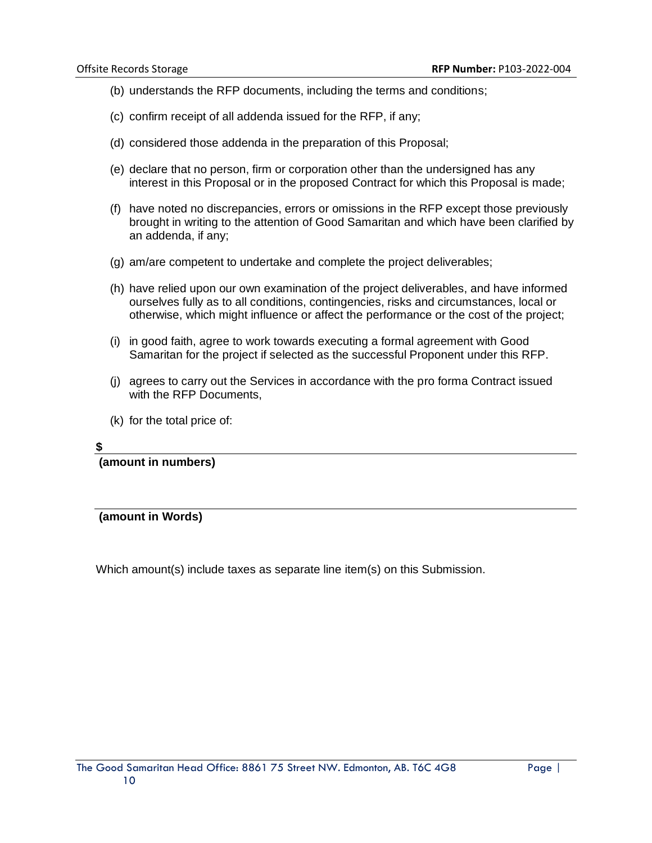- (b) understands the RFP documents, including the terms and conditions;
- (c) confirm receipt of all addenda issued for the RFP, if any;
- (d) considered those addenda in the preparation of this Proposal;
- (e) declare that no person, firm or corporation other than the undersigned has any interest in this Proposal or in the proposed Contract for which this Proposal is made;
- (f) have noted no discrepancies, errors or omissions in the RFP except those previously brought in writing to the attention of Good Samaritan and which have been clarified by an addenda, if any;
- (g) am/are competent to undertake and complete the project deliverables;
- (h) have relied upon our own examination of the project deliverables, and have informed ourselves fully as to all conditions, contingencies, risks and circumstances, local or otherwise, which might influence or affect the performance or the cost of the project;
- (i) in good faith, agree to work towards executing a formal agreement with Good Samaritan for the project if selected as the successful Proponent under this RFP.
- (j) agrees to carry out the Services in accordance with the pro forma Contract issued with the RFP Documents.
- (k) for the total price of:

#### **\$**

**(amount in numbers)**

**(amount in Words)**

Which amount(s) include taxes as separate line item(s) on this Submission.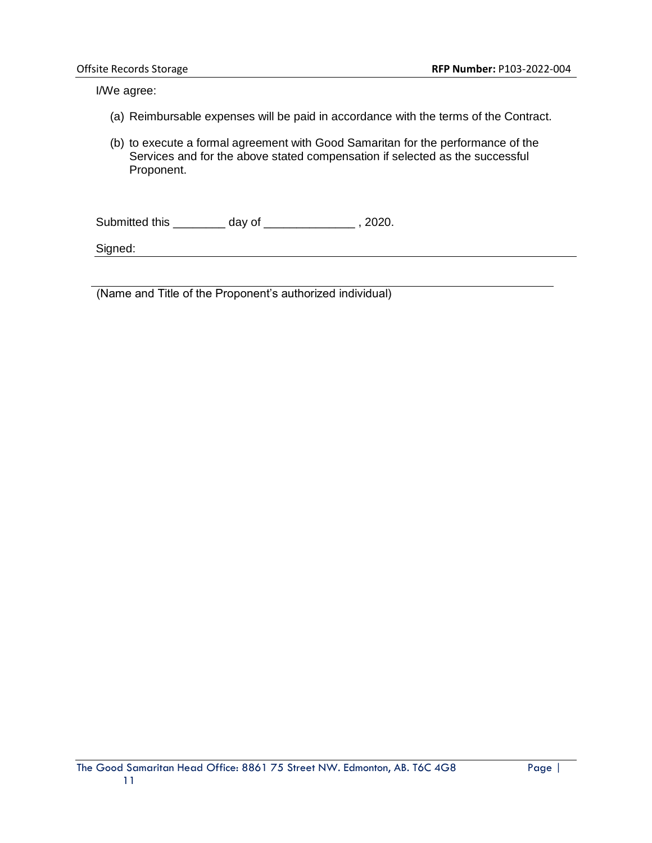I/We agree:

- (a) Reimbursable expenses will be paid in accordance with the terms of the Contract.
- (b) to execute a formal agreement with Good Samaritan for the performance of the Services and for the above stated compensation if selected as the successful Proponent.

Submitted this \_\_\_\_\_\_\_\_ day of \_\_\_\_\_\_\_\_\_\_\_\_\_\_ , 2020.

Signed:

(Name and Title of the Proponent's authorized individual)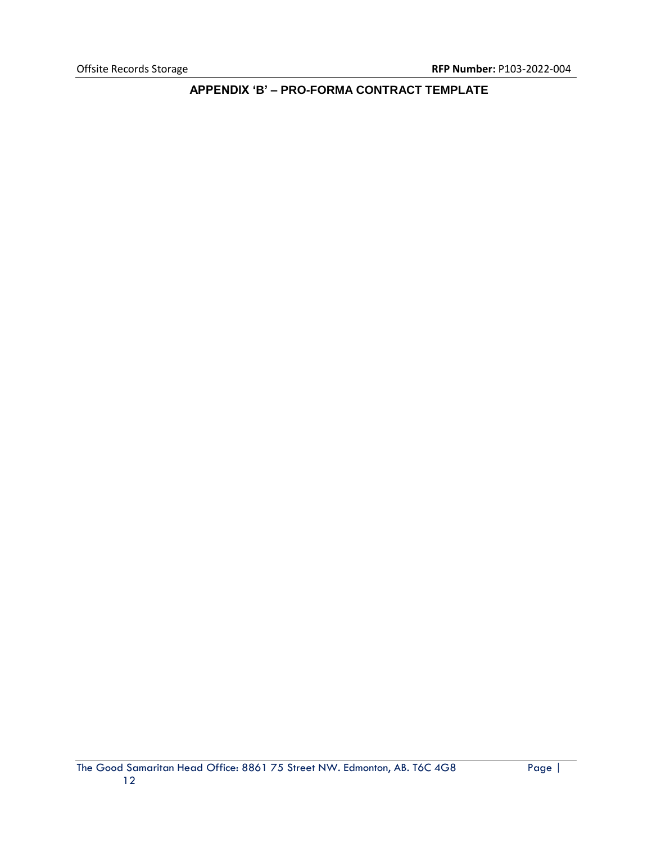<span id="page-11-0"></span>**APPENDIX 'B' – PRO-FORMA CONTRACT TEMPLATE**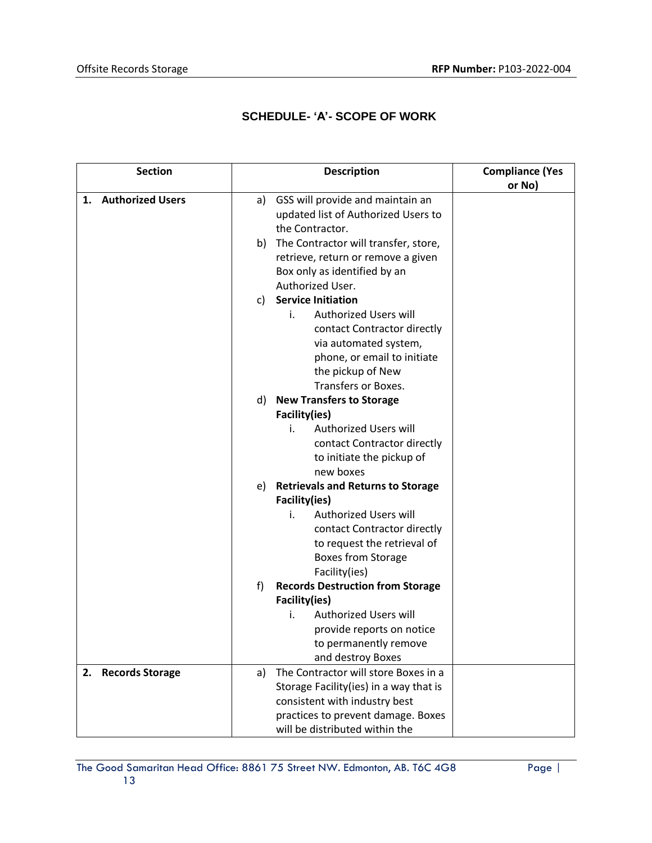# **SCHEDULE- 'A'- SCOPE OF WORK**

| <b>Section</b>      | <b>Description</b>                                                            | <b>Compliance (Yes</b> |
|---------------------|-------------------------------------------------------------------------------|------------------------|
|                     |                                                                               | or No)                 |
| 1. Authorized Users | GSS will provide and maintain an<br>a)<br>updated list of Authorized Users to |                        |
|                     | the Contractor.                                                               |                        |
|                     | The Contractor will transfer, store,<br>b)                                    |                        |
|                     | retrieve, return or remove a given<br>Box only as identified by an            |                        |
|                     | Authorized User.                                                              |                        |
|                     | <b>Service Initiation</b><br>C)                                               |                        |
|                     | <b>Authorized Users will</b><br>i.                                            |                        |
|                     | contact Contractor directly                                                   |                        |
|                     | via automated system,                                                         |                        |
|                     | phone, or email to initiate                                                   |                        |
|                     | the pickup of New                                                             |                        |
|                     | Transfers or Boxes.                                                           |                        |
|                     | <b>New Transfers to Storage</b><br>d)                                         |                        |
|                     | Facility(ies)                                                                 |                        |
|                     | <b>Authorized Users will</b><br>i.                                            |                        |
|                     | contact Contractor directly                                                   |                        |
|                     | to initiate the pickup of                                                     |                        |
|                     | new boxes                                                                     |                        |
|                     | <b>Retrievals and Returns to Storage</b><br>e)                                |                        |
|                     | Facility(ies)                                                                 |                        |
|                     | <b>Authorized Users will</b><br>i.                                            |                        |
|                     | contact Contractor directly                                                   |                        |
|                     | to request the retrieval of                                                   |                        |
|                     | <b>Boxes from Storage</b><br>Facility(ies)                                    |                        |
|                     | f)<br><b>Records Destruction from Storage</b>                                 |                        |
|                     | Facility(ies)                                                                 |                        |
|                     | <b>Authorized Users will</b><br>i.                                            |                        |
|                     | provide reports on notice                                                     |                        |
|                     | to permanently remove                                                         |                        |
|                     | and destroy Boxes                                                             |                        |
| 2. Records Storage  | The Contractor will store Boxes in a<br>a)                                    |                        |
|                     | Storage Facility(ies) in a way that is                                        |                        |
|                     | consistent with industry best                                                 |                        |
|                     | practices to prevent damage. Boxes                                            |                        |
|                     | will be distributed within the                                                |                        |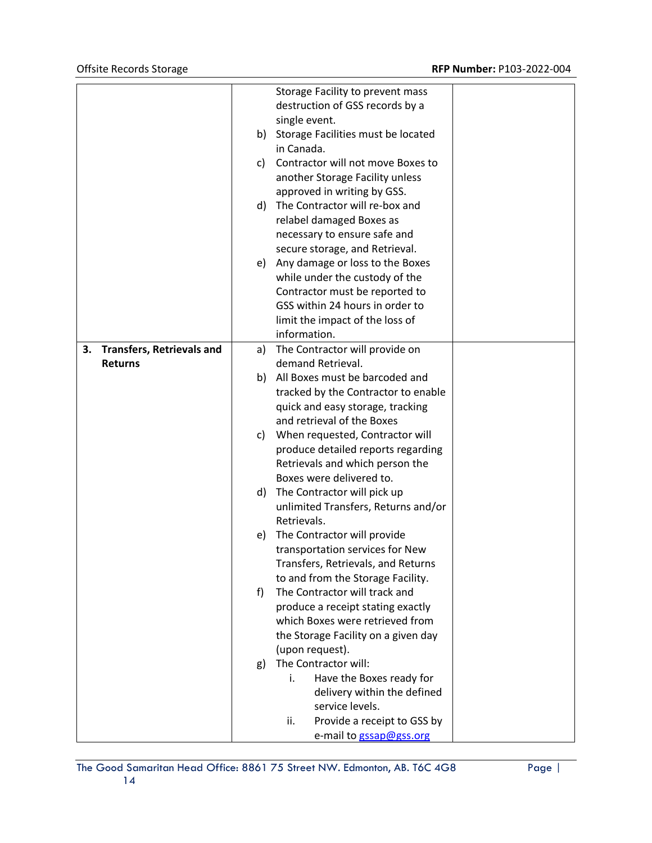|    |                                  |    | Storage Facility to prevent mass   |                                     |  |
|----|----------------------------------|----|------------------------------------|-------------------------------------|--|
|    |                                  |    | destruction of GSS records by a    |                                     |  |
|    |                                  |    | single event.                      |                                     |  |
|    |                                  | b) | Storage Facilities must be located |                                     |  |
|    |                                  |    | in Canada.                         |                                     |  |
|    |                                  | C) | Contractor will not move Boxes to  |                                     |  |
|    |                                  |    | another Storage Facility unless    |                                     |  |
|    |                                  |    |                                    | approved in writing by GSS.         |  |
|    |                                  | d) |                                    | The Contractor will re-box and      |  |
|    |                                  |    |                                    | relabel damaged Boxes as            |  |
|    |                                  |    |                                    | necessary to ensure safe and        |  |
|    |                                  |    |                                    | secure storage, and Retrieval.      |  |
|    |                                  | e) |                                    | Any damage or loss to the Boxes     |  |
|    |                                  |    |                                    | while under the custody of the      |  |
|    |                                  |    |                                    | Contractor must be reported to      |  |
|    |                                  |    |                                    | GSS within 24 hours in order to     |  |
|    |                                  |    |                                    | limit the impact of the loss of     |  |
|    |                                  |    | information.                       |                                     |  |
| 3. | <b>Transfers, Retrievals and</b> | a) |                                    | The Contractor will provide on      |  |
|    | <b>Returns</b>                   |    |                                    | demand Retrieval.                   |  |
|    |                                  | b) |                                    | All Boxes must be barcoded and      |  |
|    |                                  |    |                                    | tracked by the Contractor to enable |  |
|    |                                  |    |                                    | quick and easy storage, tracking    |  |
|    |                                  |    |                                    | and retrieval of the Boxes          |  |
|    |                                  | C) | When requested, Contractor will    |                                     |  |
|    |                                  |    |                                    | produce detailed reports regarding  |  |
|    |                                  |    |                                    | Retrievals and which person the     |  |
|    |                                  |    | Boxes were delivered to.           |                                     |  |
|    |                                  | d) | The Contractor will pick up        |                                     |  |
|    |                                  |    |                                    | unlimited Transfers, Returns and/or |  |
|    |                                  |    | Retrievals.                        |                                     |  |
|    |                                  | e) | The Contractor will provide        |                                     |  |
|    |                                  |    | transportation services for New    |                                     |  |
|    |                                  |    |                                    | Transfers, Retrievals, and Returns  |  |
|    |                                  |    |                                    | to and from the Storage Facility.   |  |
|    |                                  | f  |                                    | The Contractor will track and       |  |
|    |                                  |    |                                    | produce a receipt stating exactly   |  |
|    |                                  |    |                                    | which Boxes were retrieved from     |  |
|    |                                  |    |                                    | the Storage Facility on a given day |  |
|    |                                  |    | (upon request).                    |                                     |  |
|    |                                  | g) | The Contractor will:               |                                     |  |
|    |                                  |    | i.                                 | Have the Boxes ready for            |  |
|    |                                  |    |                                    | delivery within the defined         |  |
|    |                                  |    |                                    | service levels.                     |  |
|    |                                  |    | ii.                                | Provide a receipt to GSS by         |  |
|    |                                  |    |                                    | e-mail to gssap@gss.org             |  |
|    |                                  |    |                                    |                                     |  |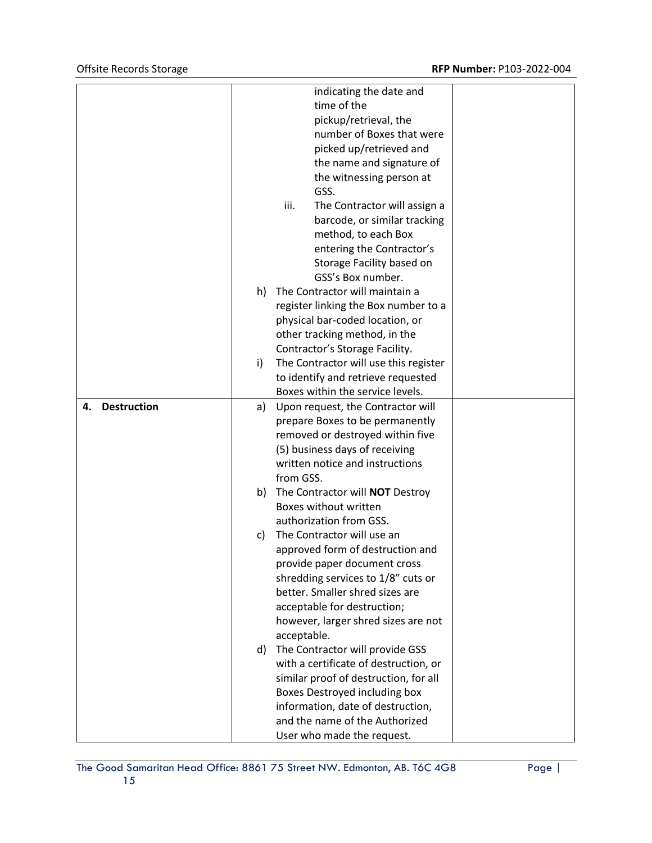|                    |    |             | indicating the date and               |  |
|--------------------|----|-------------|---------------------------------------|--|
|                    |    |             | time of the                           |  |
|                    |    |             | pickup/retrieval, the                 |  |
|                    |    |             | number of Boxes that were             |  |
|                    |    |             | picked up/retrieved and               |  |
|                    |    |             | the name and signature of             |  |
|                    |    |             | the witnessing person at              |  |
|                    |    |             | GSS.                                  |  |
|                    |    | iii.        | The Contractor will assign a          |  |
|                    |    |             | barcode, or similar tracking          |  |
|                    |    |             | method, to each Box                   |  |
|                    |    |             | entering the Contractor's             |  |
|                    |    |             | Storage Facility based on             |  |
|                    |    |             | GSS's Box number.                     |  |
|                    | h) |             | The Contractor will maintain a        |  |
|                    |    |             | register linking the Box number to a  |  |
|                    |    |             | physical bar-coded location, or       |  |
|                    |    |             | other tracking method, in the         |  |
|                    |    |             | Contractor's Storage Facility.        |  |
|                    | i) |             | The Contractor will use this register |  |
|                    |    |             | to identify and retrieve requested    |  |
|                    |    |             | Boxes within the service levels.      |  |
| 4.                 |    |             |                                       |  |
| <b>Destruction</b> | a) |             | Upon request, the Contractor will     |  |
|                    |    |             | prepare Boxes to be permanently       |  |
|                    |    |             | removed or destroyed within five      |  |
|                    |    |             | (5) business days of receiving        |  |
|                    |    |             | written notice and instructions       |  |
|                    |    | from GSS.   |                                       |  |
|                    | b) |             | The Contractor will NOT Destroy       |  |
|                    |    |             | Boxes without written                 |  |
|                    |    |             | authorization from GSS.               |  |
|                    | C) |             | The Contractor will use an            |  |
|                    |    |             | approved form of destruction and      |  |
|                    |    |             | provide paper document cross          |  |
|                    |    |             | shredding services to 1/8" cuts or    |  |
|                    |    |             | better. Smaller shred sizes are       |  |
|                    |    |             | acceptable for destruction;           |  |
|                    |    |             | however, larger shred sizes are not   |  |
|                    |    | acceptable. |                                       |  |
|                    | d) |             | The Contractor will provide GSS       |  |
|                    |    |             | with a certificate of destruction, or |  |
|                    |    |             | similar proof of destruction, for all |  |
|                    |    |             | Boxes Destroyed including box         |  |
|                    |    |             | information, date of destruction,     |  |
|                    |    |             | and the name of the Authorized        |  |
|                    |    |             | User who made the request.            |  |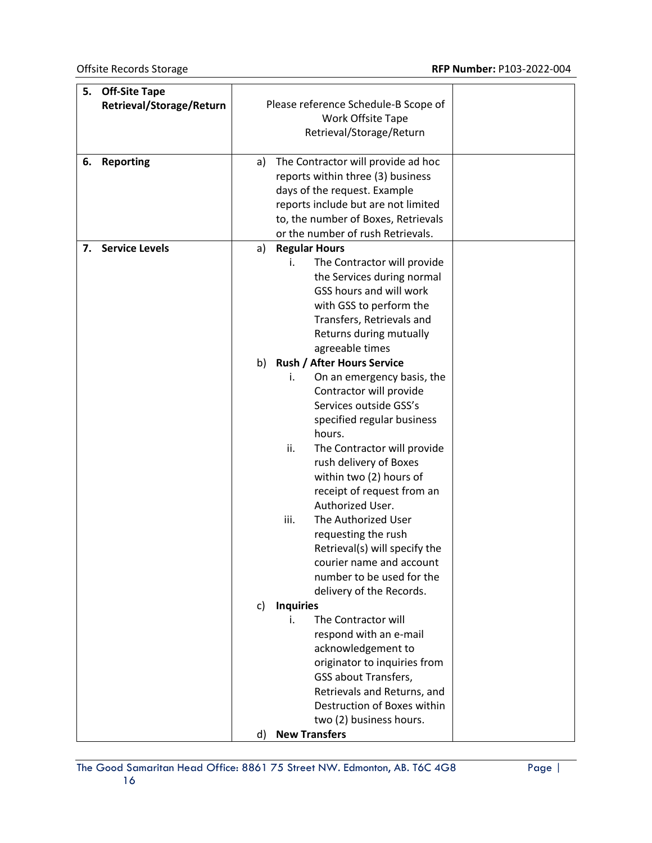| 5. | <b>Off-Site Tape</b>     |                                                |  |
|----|--------------------------|------------------------------------------------|--|
|    | Retrieval/Storage/Return | Please reference Schedule-B Scope of           |  |
|    |                          | Work Offsite Tape                              |  |
|    |                          | Retrieval/Storage/Return                       |  |
|    |                          |                                                |  |
| 6. | <b>Reporting</b>         | The Contractor will provide ad hoc<br>a)       |  |
|    |                          | reports within three (3) business              |  |
|    |                          | days of the request. Example                   |  |
|    |                          | reports include but are not limited            |  |
|    |                          | to, the number of Boxes, Retrievals            |  |
|    |                          | or the number of rush Retrievals.              |  |
| 7. | <b>Service Levels</b>    | <b>Regular Hours</b><br>a)                     |  |
|    |                          | The Contractor will provide<br>i.              |  |
|    |                          | the Services during normal                     |  |
|    |                          | GSS hours and will work                        |  |
|    |                          | with GSS to perform the                        |  |
|    |                          | Transfers, Retrievals and                      |  |
|    |                          | Returns during mutually                        |  |
|    |                          | agreeable times                                |  |
|    |                          | b) Rush / After Hours Service                  |  |
|    |                          | On an emergency basis, the<br>i.               |  |
|    |                          | Contractor will provide                        |  |
|    |                          | Services outside GSS's                         |  |
|    |                          | specified regular business                     |  |
|    |                          | hours.                                         |  |
|    |                          | ii.                                            |  |
|    |                          | The Contractor will provide                    |  |
|    |                          | rush delivery of Boxes                         |  |
|    |                          | within two (2) hours of                        |  |
|    |                          | receipt of request from an<br>Authorized User. |  |
|    |                          |                                                |  |
|    |                          | iii.<br>The Authorized User                    |  |
|    |                          | requesting the rush                            |  |
|    |                          | Retrieval(s) will specify the                  |  |
|    |                          | courier name and account                       |  |
|    |                          | number to be used for the                      |  |
|    |                          | delivery of the Records.                       |  |
|    |                          | <b>Inquiries</b><br>C)                         |  |
|    |                          | The Contractor will<br>i.                      |  |
|    |                          | respond with an e-mail                         |  |
|    |                          | acknowledgement to                             |  |
|    |                          | originator to inquiries from                   |  |
|    |                          | <b>GSS about Transfers,</b>                    |  |
|    |                          | Retrievals and Returns, and                    |  |
|    |                          | Destruction of Boxes within                    |  |
|    |                          | two (2) business hours.                        |  |
|    |                          | d) New Transfers                               |  |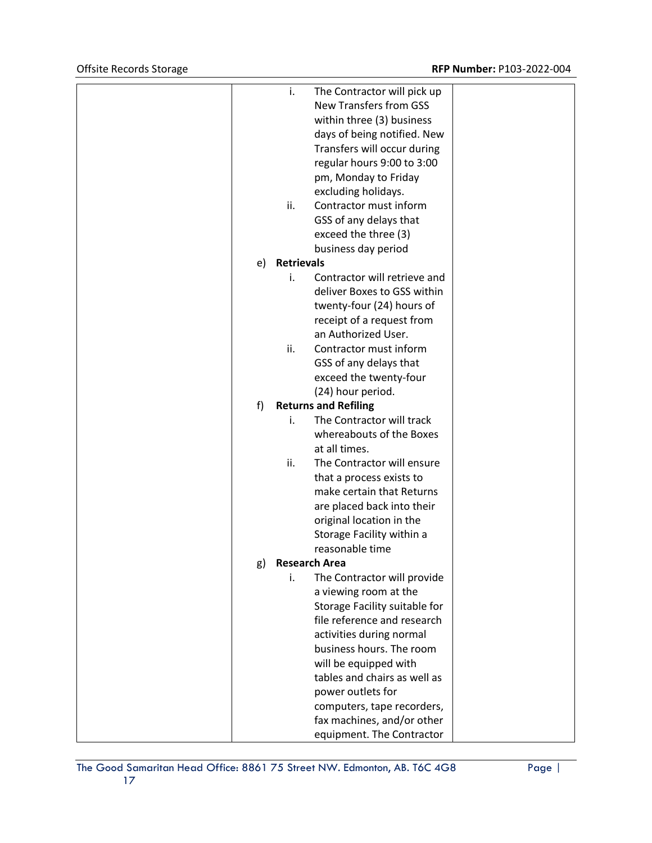|    | i.                | The Contractor will pick up             |  |
|----|-------------------|-----------------------------------------|--|
|    |                   | <b>New Transfers from GSS</b>           |  |
|    |                   | within three (3) business               |  |
|    |                   | days of being notified. New             |  |
|    |                   | Transfers will occur during             |  |
|    |                   | regular hours 9:00 to 3:00              |  |
|    |                   | pm, Monday to Friday                    |  |
|    |                   | excluding holidays.                     |  |
|    | ii.               | Contractor must inform                  |  |
|    |                   | GSS of any delays that                  |  |
|    |                   | exceed the three (3)                    |  |
|    |                   | business day period                     |  |
| e) | <b>Retrievals</b> |                                         |  |
|    | i.                | Contractor will retrieve and            |  |
|    |                   | deliver Boxes to GSS within             |  |
|    |                   | twenty-four (24) hours of               |  |
|    |                   | receipt of a request from               |  |
|    |                   | an Authorized User.                     |  |
|    | ii.               | Contractor must inform                  |  |
|    |                   | GSS of any delays that                  |  |
|    |                   | exceed the twenty-four                  |  |
|    |                   | (24) hour period.                       |  |
| f) |                   | <b>Returns and Refiling</b>             |  |
|    | i.                | The Contractor will track               |  |
|    |                   | whereabouts of the Boxes                |  |
|    |                   | at all times.                           |  |
|    | ii.               | The Contractor will ensure              |  |
|    |                   | that a process exists to                |  |
|    |                   | make certain that Returns               |  |
|    |                   | are placed back into their              |  |
|    |                   | original location in the                |  |
|    |                   | Storage Facility within a               |  |
|    |                   | reasonable time<br><b>Research Area</b> |  |
| g) | i.                | The Contractor will provide             |  |
|    |                   | a viewing room at the                   |  |
|    |                   | Storage Facility suitable for           |  |
|    |                   | file reference and research             |  |
|    |                   | activities during normal                |  |
|    |                   | business hours. The room                |  |
|    |                   | will be equipped with                   |  |
|    |                   | tables and chairs as well as            |  |
|    |                   | power outlets for                       |  |
|    |                   | computers, tape recorders,              |  |
|    |                   | fax machines, and/or other              |  |
|    |                   | equipment. The Contractor               |  |
|    |                   |                                         |  |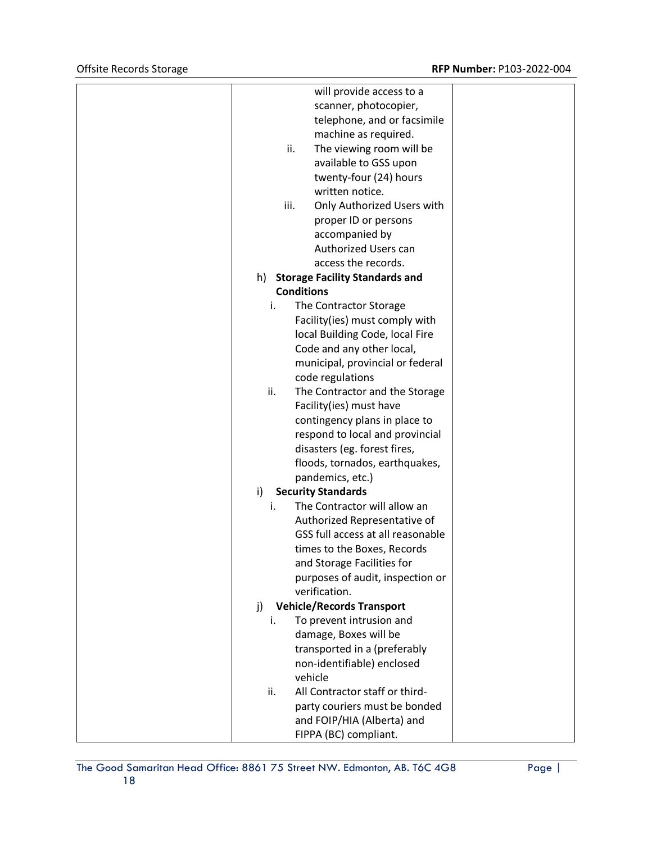| will provide access to a                          |  |
|---------------------------------------------------|--|
| scanner, photocopier,                             |  |
| telephone, and or facsimile                       |  |
| machine as required.                              |  |
| ii.<br>The viewing room will be                   |  |
| available to GSS upon                             |  |
| twenty-four (24) hours                            |  |
| written notice.                                   |  |
| iii.<br>Only Authorized Users with                |  |
| proper ID or persons                              |  |
| accompanied by                                    |  |
| Authorized Users can                              |  |
| access the records.                               |  |
| <b>Storage Facility Standards and</b><br>h)       |  |
| <b>Conditions</b>                                 |  |
| i.<br>The Contractor Storage                      |  |
| Facility(ies) must comply with                    |  |
| local Building Code, local Fire                   |  |
| Code and any other local,                         |  |
| municipal, provincial or federal                  |  |
| code regulations                                  |  |
| ii.<br>The Contractor and the Storage             |  |
| Facility(ies) must have                           |  |
| contingency plans in place to                     |  |
| respond to local and provincial                   |  |
| disasters (eg. forest fires,                      |  |
| floods, tornados, earthquakes,                    |  |
|                                                   |  |
| pandemics, etc.)<br><b>Security Standards</b>     |  |
| i)<br>The Contractor will allow an<br>i.          |  |
|                                                   |  |
| Authorized Representative of                      |  |
| GSS full access at all reasonable                 |  |
| times to the Boxes, Records                       |  |
| and Storage Facilities for                        |  |
| purposes of audit, inspection or<br>verification. |  |
|                                                   |  |
| <b>Vehicle/Records Transport</b><br>j)            |  |
| To prevent intrusion and<br>i.                    |  |
| damage, Boxes will be                             |  |
| transported in a (preferably                      |  |
| non-identifiable) enclosed                        |  |
| vehicle                                           |  |
| All Contractor staff or third-<br>ii.             |  |
| party couriers must be bonded                     |  |
| and FOIP/HIA (Alberta) and                        |  |
| FIPPA (BC) compliant.                             |  |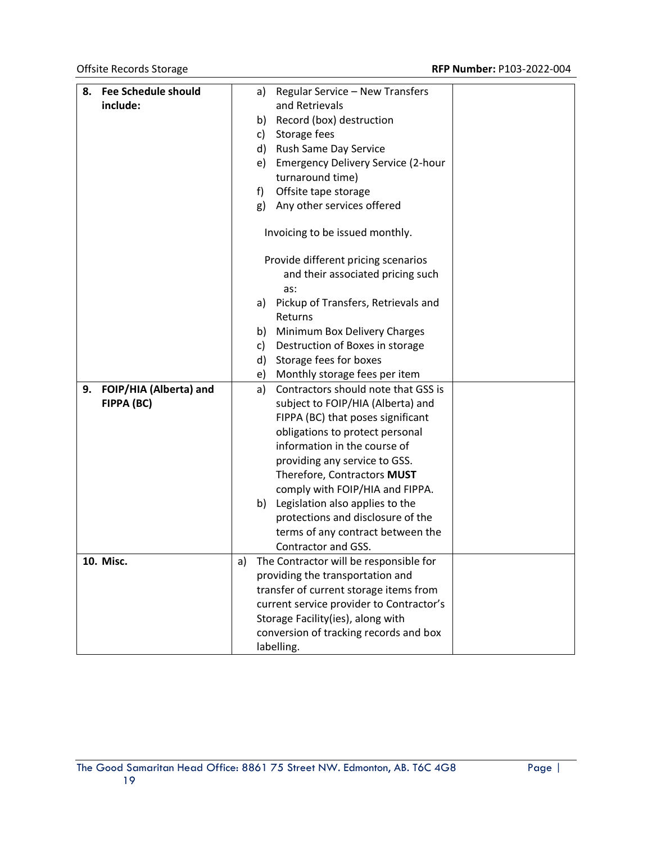| 8. | <b>Fee Schedule should</b> |    | a)         | Regular Service - New Transfers          |  |
|----|----------------------------|----|------------|------------------------------------------|--|
|    | include:                   |    |            | and Retrievals                           |  |
|    |                            |    | b)         | Record (box) destruction                 |  |
|    |                            |    | c)         | Storage fees                             |  |
|    |                            |    |            | d) Rush Same Day Service                 |  |
|    |                            |    | e)         | Emergency Delivery Service (2-hour       |  |
|    |                            |    |            | turnaround time)                         |  |
|    |                            |    | f)         | Offsite tape storage                     |  |
|    |                            |    | g)         | Any other services offered               |  |
|    |                            |    |            | Invoicing to be issued monthly.          |  |
|    |                            |    |            | Provide different pricing scenarios      |  |
|    |                            |    |            | and their associated pricing such        |  |
|    |                            |    |            | as:                                      |  |
|    |                            |    | a)         | Pickup of Transfers, Retrievals and      |  |
|    |                            |    |            | Returns                                  |  |
|    |                            |    | b)         | Minimum Box Delivery Charges             |  |
|    |                            |    | c)         | Destruction of Boxes in storage          |  |
|    |                            |    | d)         | Storage fees for boxes                   |  |
|    |                            |    | e)         | Monthly storage fees per item            |  |
| 9. | FOIP/HIA (Alberta) and     |    | a)         | Contractors should note that GSS is      |  |
|    | FIPPA (BC)                 |    |            | subject to FOIP/HIA (Alberta) and        |  |
|    |                            |    |            | FIPPA (BC) that poses significant        |  |
|    |                            |    |            | obligations to protect personal          |  |
|    |                            |    |            | information in the course of             |  |
|    |                            |    |            | providing any service to GSS.            |  |
|    |                            |    |            | Therefore, Contractors MUST              |  |
|    |                            |    |            | comply with FOIP/HIA and FIPPA.          |  |
|    |                            |    | b)         | Legislation also applies to the          |  |
|    |                            |    |            | protections and disclosure of the        |  |
|    |                            |    |            | terms of any contract between the        |  |
|    |                            |    |            | Contractor and GSS.                      |  |
|    | 10. Misc.                  | a) |            | The Contractor will be responsible for   |  |
|    |                            |    |            | providing the transportation and         |  |
|    |                            |    |            | transfer of current storage items from   |  |
|    |                            |    |            | current service provider to Contractor's |  |
|    |                            |    |            | Storage Facility(ies), along with        |  |
|    |                            |    |            | conversion of tracking records and box   |  |
|    |                            |    | labelling. |                                          |  |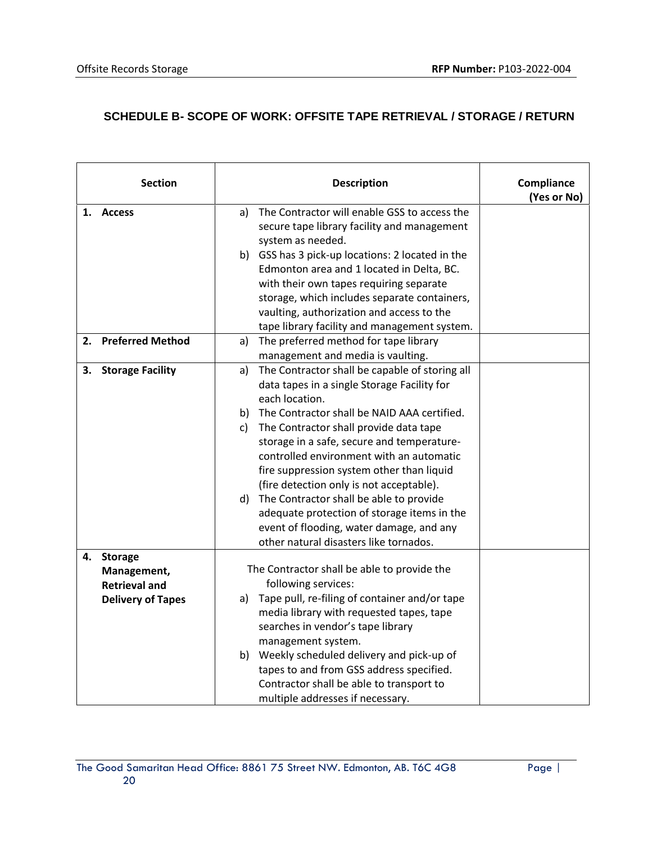## **SCHEDULE B- SCOPE OF WORK: OFFSITE TAPE RETRIEVAL / STORAGE / RETURN**

|    | <b>Section</b>           |              | <b>Description</b>                                                                                               | Compliance<br>(Yes or No) |
|----|--------------------------|--------------|------------------------------------------------------------------------------------------------------------------|---------------------------|
|    | 1. Access                | a)           | The Contractor will enable GSS to access the<br>secure tape library facility and management<br>system as needed. |                           |
|    |                          |              | b) GSS has 3 pick-up locations: 2 located in the                                                                 |                           |
|    |                          |              | Edmonton area and 1 located in Delta, BC.                                                                        |                           |
|    |                          |              | with their own tapes requiring separate                                                                          |                           |
|    |                          |              | storage, which includes separate containers,                                                                     |                           |
|    |                          |              | vaulting, authorization and access to the                                                                        |                           |
|    |                          |              | tape library facility and management system.                                                                     |                           |
| 2. | <b>Preferred Method</b>  | a)           | The preferred method for tape library                                                                            |                           |
|    |                          |              | management and media is vaulting.                                                                                |                           |
| 3. | <b>Storage Facility</b>  | a)           | The Contractor shall be capable of storing all                                                                   |                           |
|    |                          |              | data tapes in a single Storage Facility for                                                                      |                           |
|    |                          |              | each location.                                                                                                   |                           |
|    |                          |              | b) The Contractor shall be NAID AAA certified.                                                                   |                           |
|    |                          | $\mathsf{c}$ | The Contractor shall provide data tape                                                                           |                           |
|    |                          |              | storage in a safe, secure and temperature-                                                                       |                           |
|    |                          |              | controlled environment with an automatic                                                                         |                           |
|    |                          |              | fire suppression system other than liquid                                                                        |                           |
|    |                          |              | (fire detection only is not acceptable).                                                                         |                           |
|    |                          |              | d) The Contractor shall be able to provide                                                                       |                           |
|    |                          |              | adequate protection of storage items in the                                                                      |                           |
|    |                          |              | event of flooding, water damage, and any<br>other natural disasters like tornados.                               |                           |
| 4. | <b>Storage</b>           |              |                                                                                                                  |                           |
|    | Management,              |              | The Contractor shall be able to provide the                                                                      |                           |
|    | <b>Retrieval and</b>     |              | following services:                                                                                              |                           |
|    | <b>Delivery of Tapes</b> | a)           | Tape pull, re-filing of container and/or tape                                                                    |                           |
|    |                          |              | media library with requested tapes, tape                                                                         |                           |
|    |                          |              | searches in vendor's tape library                                                                                |                           |
|    |                          |              | management system.                                                                                               |                           |
|    |                          |              | b) Weekly scheduled delivery and pick-up of                                                                      |                           |
|    |                          |              | tapes to and from GSS address specified.                                                                         |                           |
|    |                          |              | Contractor shall be able to transport to                                                                         |                           |
|    |                          |              | multiple addresses if necessary.                                                                                 |                           |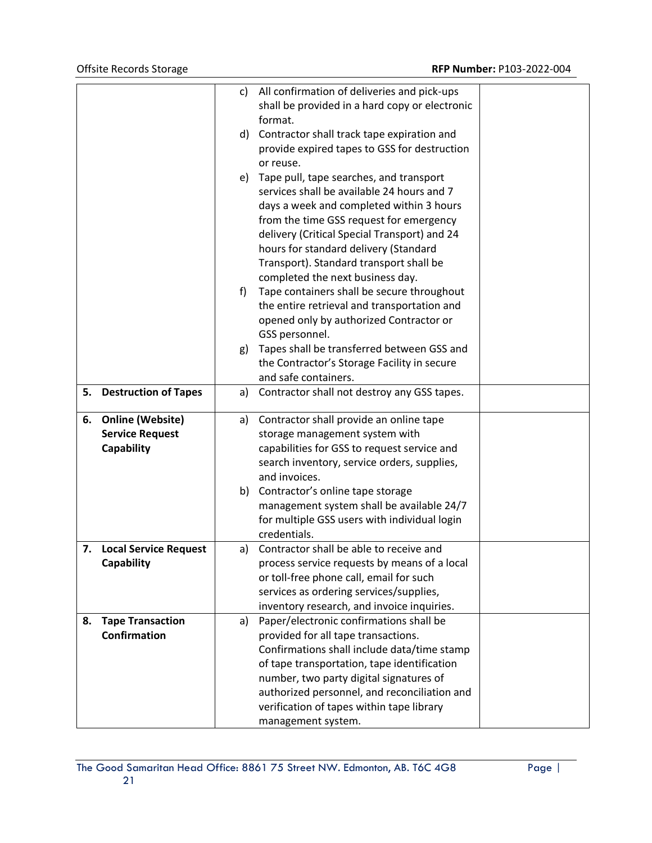|    |                             | C) | All confirmation of deliveries and pick-ups    |  |
|----|-----------------------------|----|------------------------------------------------|--|
|    |                             |    | shall be provided in a hard copy or electronic |  |
|    |                             |    | format.                                        |  |
|    |                             |    | d) Contractor shall track tape expiration and  |  |
|    |                             |    | provide expired tapes to GSS for destruction   |  |
|    |                             |    | or reuse.                                      |  |
|    |                             | e) | Tape pull, tape searches, and transport        |  |
|    |                             |    | services shall be available 24 hours and 7     |  |
|    |                             |    | days a week and completed within 3 hours       |  |
|    |                             |    | from the time GSS request for emergency        |  |
|    |                             |    | delivery (Critical Special Transport) and 24   |  |
|    |                             |    |                                                |  |
|    |                             |    | hours for standard delivery (Standard          |  |
|    |                             |    | Transport). Standard transport shall be        |  |
|    |                             |    | completed the next business day.               |  |
|    |                             | f  | Tape containers shall be secure throughout     |  |
|    |                             |    | the entire retrieval and transportation and    |  |
|    |                             |    | opened only by authorized Contractor or        |  |
|    |                             |    | GSS personnel.                                 |  |
|    |                             | g) | Tapes shall be transferred between GSS and     |  |
|    |                             |    | the Contractor's Storage Facility in secure    |  |
|    |                             |    | and safe containers.                           |  |
| 5. | <b>Destruction of Tapes</b> | a) | Contractor shall not destroy any GSS tapes.    |  |
| 6. | <b>Online (Website)</b>     | a) | Contractor shall provide an online tape        |  |
|    | <b>Service Request</b>      |    | storage management system with                 |  |
|    | Capability                  |    | capabilities for GSS to request service and    |  |
|    |                             |    | search inventory, service orders, supplies,    |  |
|    |                             |    | and invoices.                                  |  |
|    |                             |    | b) Contractor's online tape storage            |  |
|    |                             |    | management system shall be available 24/7      |  |
|    |                             |    | for multiple GSS users with individual login   |  |
|    |                             |    | credentials.                                   |  |
|    | 7. Local Service Request    | a) | Contractor shall be able to receive and        |  |
|    | Capability                  |    | process service requests by means of a local   |  |
|    |                             |    | or toll-free phone call, email for such        |  |
|    |                             |    | services as ordering services/supplies,        |  |
|    |                             |    | inventory research, and invoice inquiries.     |  |
| 8. | <b>Tape Transaction</b>     | a) | Paper/electronic confirmations shall be        |  |
|    | <b>Confirmation</b>         |    | provided for all tape transactions.            |  |
|    |                             |    | Confirmations shall include data/time stamp    |  |
|    |                             |    | of tape transportation, tape identification    |  |
|    |                             |    | number, two party digital signatures of        |  |
|    |                             |    | authorized personnel, and reconciliation and   |  |
|    |                             |    | verification of tapes within tape library      |  |
|    |                             |    | management system.                             |  |